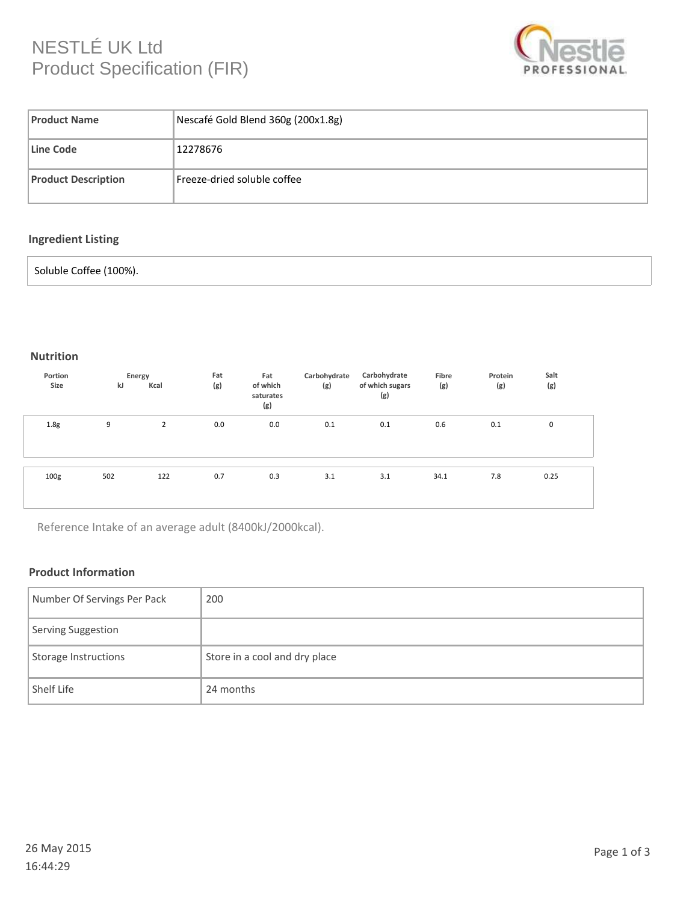# NESTLÉ UK Ltd Product Specification (FIR)



| <b>Product Name</b>        | Nescafé Gold Blend 360g (200x1.8g) |  |  |  |  |
|----------------------------|------------------------------------|--|--|--|--|
| Line Code                  | 12278676                           |  |  |  |  |
| <b>Product Description</b> | Freeze-dried soluble coffee        |  |  |  |  |

## **Ingredient Listing**

#### Soluble Coffee (100%).

#### **Nutrition**

| Portion<br>Size  | kJ  | Energy<br>Kcal | Fat<br>(g) | Fat<br>of which<br>saturates<br>(g) | Carbohydrate<br>(g) | Carbohydrate<br>of which sugars<br>(g) | Fibre<br>(g) | Protein<br>(g) | Salt<br>(g) |
|------------------|-----|----------------|------------|-------------------------------------|---------------------|----------------------------------------|--------------|----------------|-------------|
| 1.8 <sub>g</sub> | 9   | 2              | 0.0        | 0.0                                 | 0.1                 | 0.1                                    | 0.6          | 0.1            | 0           |
| 100 <sub>g</sub> | 502 | 122            | 0.7        | 0.3                                 | 3.1                 | 3.1                                    | 34.1         | 7.8            | 0.25        |

Reference Intake of an average adult (8400kJ/2000kcal).

#### **Product Information**

| Number Of Servings Per Pack | 200                           |
|-----------------------------|-------------------------------|
| Serving Suggestion          |                               |
| Storage Instructions        | Store in a cool and dry place |
| Shelf Life                  | 24 months                     |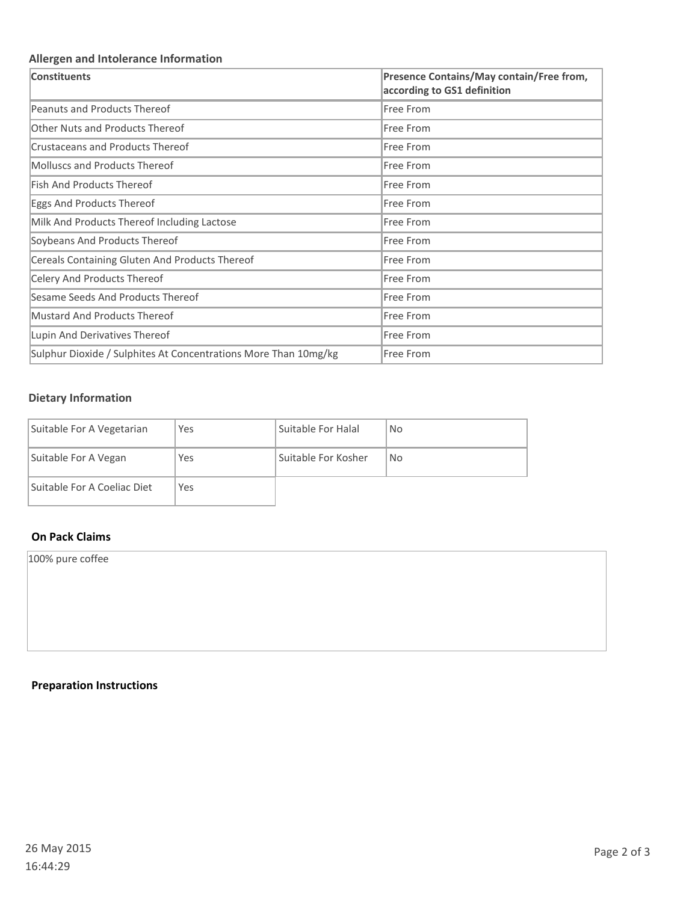## **Allergen and Intolerance Information**

| Constituents                                                    | Presence Contains/May contain/Free from,<br>according to GS1 definition |
|-----------------------------------------------------------------|-------------------------------------------------------------------------|
| Peanuts and Products Thereof                                    | Free From                                                               |
| <b>Other Nuts and Products Thereof</b>                          | Free From                                                               |
| Crustaceans and Products Thereof                                | <b>Free From</b>                                                        |
| Molluscs and Products Thereof                                   | Free From                                                               |
| <b>Fish And Products Thereof</b>                                | Free From                                                               |
| Eggs And Products Thereof                                       | Free From                                                               |
| Milk And Products Thereof Including Lactose                     | Free From                                                               |
| Soybeans And Products Thereof                                   | Free From                                                               |
| Cereals Containing Gluten And Products Thereof                  | Free From                                                               |
| Celery And Products Thereof                                     | Free From                                                               |
| Sesame Seeds And Products Thereof                               | <b>Free From</b>                                                        |
| <b>Mustard And Products Thereof</b>                             | Free From                                                               |
| Lupin And Derivatives Thereof                                   | Free From                                                               |
| Sulphur Dioxide / Sulphites At Concentrations More Than 10mg/kg | <b>Free From</b>                                                        |

### **Dietary Information**

| Suitable For A Vegetarian   | Yes        | Suitable For Halal  | <b>No</b> |
|-----------------------------|------------|---------------------|-----------|
| Suitable For A Vegan        | Yes        | Suitable For Kosher | <b>No</b> |
| Suitable For A Coeliac Diet | <b>Yes</b> |                     |           |

## **On Pack Claims**

100% pure coffee

## **Preparation Instructions**